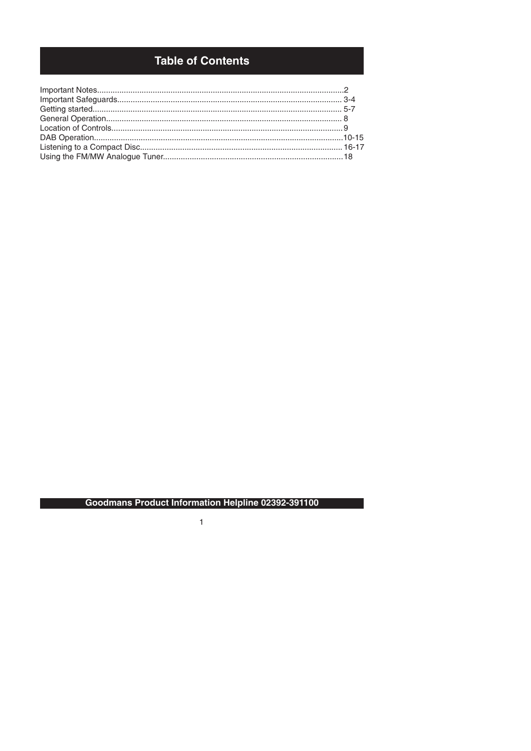# **Table of Contents**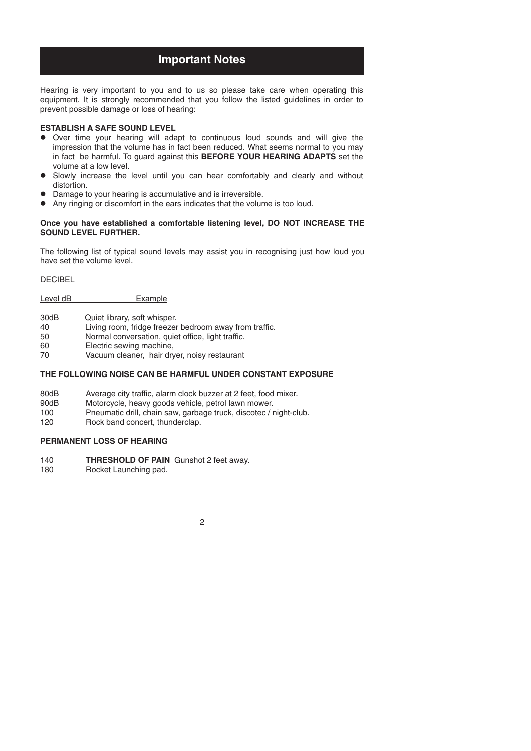# **Important Notes**

Hearing is very important to you and to us so please take care when operating this equipment. It is strongly recommended that you follow the listed guidelines in order to prevent possible damage or loss of hearing:

#### **ESTABLISH A SAFE SOUND LEVEL**

- in fact be harmful. To guard against this **BEFORE YOUR HEARING ADAPTS** set the Over time your hearing will adapt to continuous loud sounds and will give the impression that the volume has in fact been reduced. What seems normal to you may volume at a low level.
- Slowly increase the level until you can hear comfortably and clearly and without distortion.
- Damage to your hearing is accumulative and is irreversible.
- Any ringing or discomfort in the ears indicates that the volume is too loud.

#### **Once you have established a comfortable listening level, DO NOT INCREASE THE SOUND LEVEL FURTHER.**

The following list of typical sound levels may assist you in recognising just how loud you have set the volume level.

**DECIBEL** 

Level dB Example

| 30dB | Quiet library, soft whisper. |
|------|------------------------------|
|------|------------------------------|

- 40 Living room, fridge freezer bedroom away from traffic.<br>50 **Normal conversation, quiet office, light traffic.**
- Normal conversation, quiet office, light traffic.
- 60 Electric sewing machine,<br>70 Vacuum cleaner hair dry
- Vacuum cleaner, hair dryer, noisy restaurant

## **THE FOLLOWING NOISE CAN BE HARMFUL UNDER CONSTANT EXPOSURE**

- 80dB Average city traffic, alarm clock buzzer at 2 feet, food mixer.<br>90dB Motorcycle, heavy goods vehicle, petrol lawn mower.
- 90dB Motorcycle, heavy goods vehicle, petrol lawn mower.<br>100 Pneumatic drill chain saw garbage truck discotec / r
- Pneumatic drill, chain saw, garbage truck, discotec / night-club.
- 120 Rock band concert, thunderclap.

### **PERMANENT LOSS OF HEARING**

- 140 **THRESHOLD OF PAIN** Gunshot 2 feet away.
- 180 Rocket Launching pad.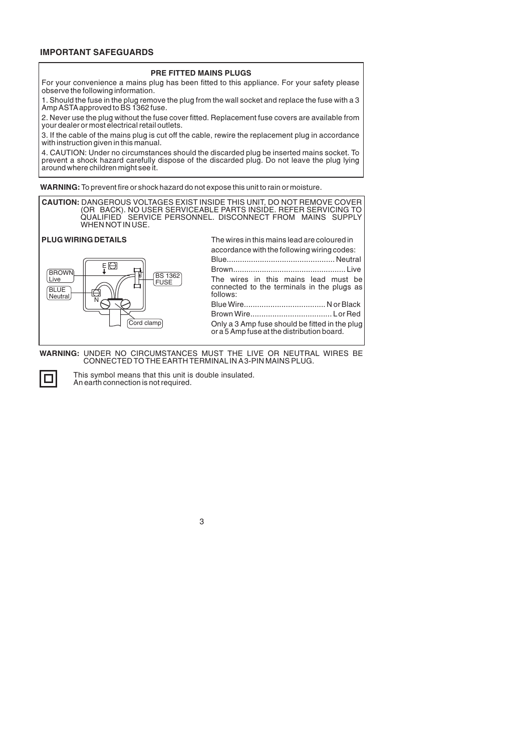# **IMPORTANT SAFEGUARDS**

#### **PRE FITTED MAINS PLUGS**

For your convenience a mains plug has been fitted to this appliance. For your safety please observe the following information.

1. Should the fuse in the plug remove the plug from the wall socket and replace the fuse with a 3 Amp ASTAapproved to BS 1362 fuse.

2. Never use the plug without the fuse cover fitted. Replacement fuse covers are available from your dealer or most electrical retail outlets.

3. If the cable of the mains plug is cut off the cable, rewire the replacement plug in accordance with instruction given in this manual.

4. CAUTION: Under no circumstances should the discarded plug be inserted mains socket. To prevent a shock hazard carefully dispose of the discarded plug. Do not leave the plug lying around where children might see it.

**WARNING:** To prevent fire or shock hazard do not expose this unit to rain or moisture.

**CAUTION:** DANGEROUS VOLTAGES EXIST INSIDE THIS UNIT, DO NOT REMOVE COVER (OR BACK). NO USER SERVICEABLE PARTS INSIDE. REFER SERVICING TO QUALIFIED SERVICE PERSONNEL. DISCONNECT FROM MAINS SUPPLY WHEN NOTIN USE.

#### **PLUG WIRING DETAILS**



| The wires in this mains lead are coloured in                                                                                       |  |  |
|------------------------------------------------------------------------------------------------------------------------------------|--|--|
| accordance with the following wiring codes:                                                                                        |  |  |
|                                                                                                                                    |  |  |
|                                                                                                                                    |  |  |
| The wires in this mains lead must be<br>connected to the terminals in the plugs as<br>follows:                                     |  |  |
|                                                                                                                                    |  |  |
|                                                                                                                                    |  |  |
| Only a 3 Amp fuse should be fitted in the plug<br>or a 5 Amp fuse at the distribution board. $\begin{bmatrix} 1 & 1 \end{bmatrix}$ |  |  |

**WARNING:** UNDER NO CIRCUMSTANCES MUST THE LIVE OR NEUTRAL WIRES BE CONNECTED TO THE EARTH TERMINALIN A3-PIN MAINS PLUG.



This symbol means that this unit is double insulated. An earth connection is not required.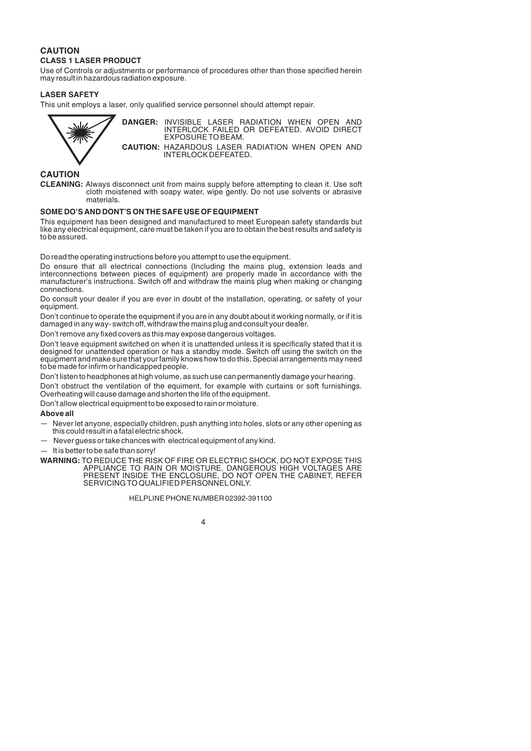# **CAUTION CLASS 1 LASER PRODUCT**

Use of Controls or adjustments or performance of procedures other than those specified herein may result in hazardous radiation exposure.

## **LASER SAFETY**

This unit employs a laser, only qualified service personnel should attempt repair.



**DANGER:** INVISIBLE LASER RADIATION WHEN OPEN AND INTERLOCK FAILED OR DEFEATED. AVOID DIRECT EXPOSURE TO BEAM.

**CAUTION:** HAZARDOUS LASER RADIATION WHEN OPEN AND INTERLOCK DEFEATED.

# **CAUTION**

**CLEANING:** Always disconnect unit from mains supply before attempting to clean it. Use soft cloth moistened with soapy water, wipe gently. Do not use solvents or abrasive materials.

#### **SOME DO'S AND DONT'S ON THE SAFE USE OF EQUIPMENT**

This equipment has been designed and manufactured to meet European safety standards but like any electrical equipment, care must be taken if you are to obtain the best results and safety is to be assured.

Do read the operating instructions before you attempt to use the equipment.

Do ensure that all electrical connections (Including the mains plug, extension leads and interconnections between pieces of equipment) are properly made in accordance with the manufacturer's instructions. Switch off and withdraw the mains plug when making or changing connections.

Do consult your dealer if you are ever in doubt of the installation, operating, or safety of your equipment.

Don't continue to operate the equipment if you are in any doubt about it working normally, or if it is damaged in any way- switch off, withdraw the mains plug and consult your dealer.

Don't remove any fixed covers as this may expose dangerous voltages.

Don't leave equipment switched on when it is unattended unless it is specifically stated that it is designed for unattended operation or has a standby mode. Switch off using the switch on the equipment and make sure that your family knows how to do this. Special arrangements may need to be made for infirm or handicapped people.

Don't listen to headphones at high volume, as such use can permanently damage your hearing.

Don't obstruct the ventilation of the equiment, for example with curtains or soft furnishings. Overheating will cause damage and shorten the life of the equipment.

Don't allow electrical equipment to be exposed to rain or moisture.

### **Above all**

- $-$  Never let anyone, especially children, push anything into holes, slots or any other opening as this could result in a fatal electric shock.
- $-$  Never guess or take chances with electrical equipment of any kind.
- $-$  It is better to be safe than sorry!
- **WARNING:** TO REDUCE THE RISK OF FIRE OR ELECTRIC SHOCK, DO NOT EXPOSE THIS APPLIANCE TO RAIN OR MOISTURE, DANGEROUS HIGH VOLTAGES ARE PRESENT INSIDE THE ENCLOSURE, DO NOT OPEN THE CABINET, REFER SERVICING TO QUALIFIED PERSONNELONLY.

#### HELPLINE PHONE NUMBER 02392-391100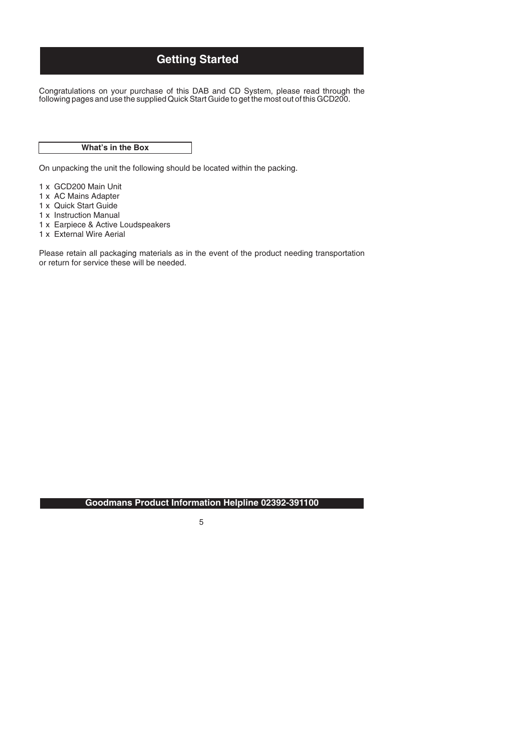# **Getting Started**

Congratulations on your purchase of this DAB and CD System, please read through the following pages and use the supplied Quick Start Guide to get the most out of this GCD200.

## **What's in the Box**

On unpacking the unit the following should be located within the packing.

- 1 x GCD200 Main Unit
- 1 x AC Mains Adapter
- 1 x Quick Start Guide
- 1 x Instruction Manual
- 1 x Earpiece & Active Loudspeakers
- 1 x External Wire Aerial

Please retain all packaging materials as in the event of the product needing transportation or return for service these will be needed.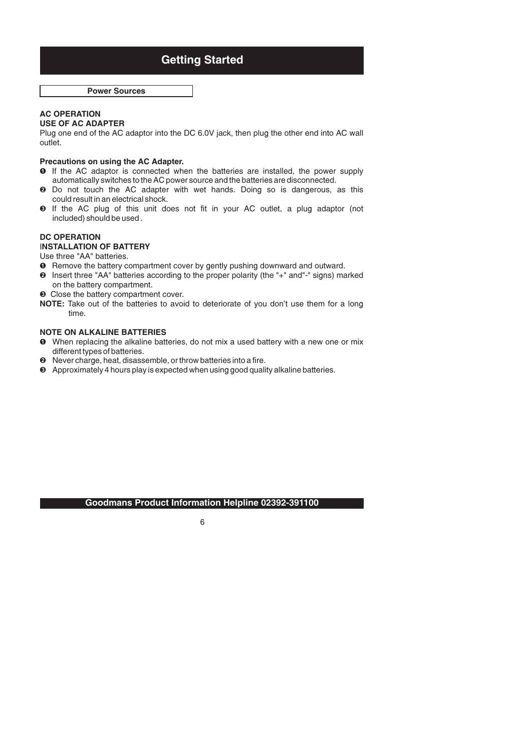# **Getting Started**

**Power Sources**

#### **AC OPERATION USE OF AC ADAPTER**

Plug one end of the AC adaptor into the DC 6.0V jack, then plug the other end into AC wall outlet.

### **Precautions on using the AC Adapter.**

- $\bullet$  If the AC adaptor is connected when the batteries are installed, the power supply automatically switches to the AC power source and the batteries are disconnected.
- **9** Do not touch the AC adapter with wet hands. Doing so is dangerous, as this could result in an electrical shock.
- $\bullet$  If the AC plug of this unit does not fit in your AC outlet, a plug adaptor (not included) should be used .

## **DC OPERATION**

### **NSTALLATION OF BATTERY** I

Use three "AA" batteries.

- **O** Remove the battery compartment cover by gently pushing downward and outward.
- <sup>2</sup> Insert three "AA" batteries according to the proper polarity (the "+" and"-" signs) marked on the battery compartment.
- **8** Close the battery compartment cover.
- **NOTE:** Take out of the batteries to avoid to deteriorate of you don't use them for a long time.

#### **NOTE ON ALKALINE BATTERIES**

- **O** When replacing the alkaline batteries, do not mix a used battery with a new one or mix different types of batteries.
- <sup>2</sup> Never charge, heat, disassemble, or throw batteries into a fire.
- Approximately 4 hours play is expected when using good quality alkaline batteries.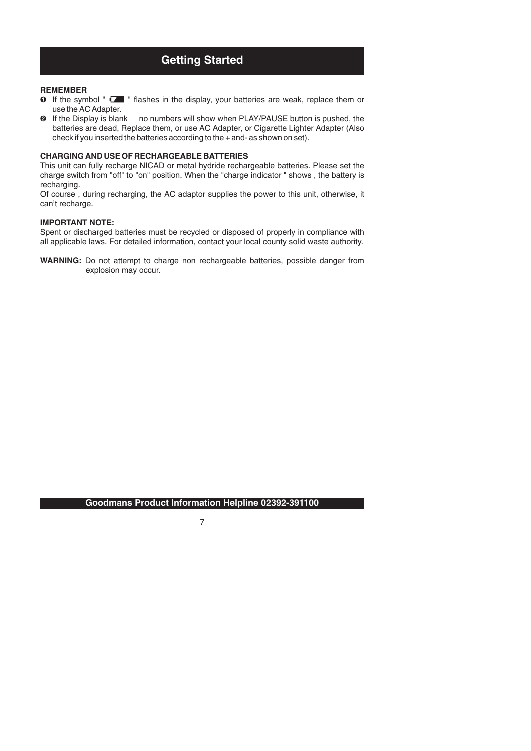# **Getting Started**

#### **REMEMBER**

- **O** If the symbol "  $\square$  " flashes in the display, your batteries are weak, replace them or use the AC Adapter.
- $\odot$  If the Display is blank  $-$  no numbers will show when PLAY/PAUSE button is pushed, the batteries are dead, Replace them, or use AC Adapter, or Cigarette Lighter Adapter (Also check if you inserted the batteries according to the + and- as shown on set).

#### **CHARGING AND USE OF RECHARGEABLE BATTERIES**

This unit can fully recharge NICAD or metal hydride rechargeable batteries. Please set the charge switch from "off" to "on" position. When the "charge indicator " shows , the battery is recharging.

Of course , during recharging, the AC adaptor supplies the power to this unit, otherwise, it can't recharge.

#### **IMPORTANT NOTE:**

Spent or discharged batteries must be recycled or disposed of properly in compliance with all applicable laws. For detailed information, contact your local county solid waste authority.

**WARNING:** Do not attempt to charge non rechargeable batteries, possible danger from explosion may occur.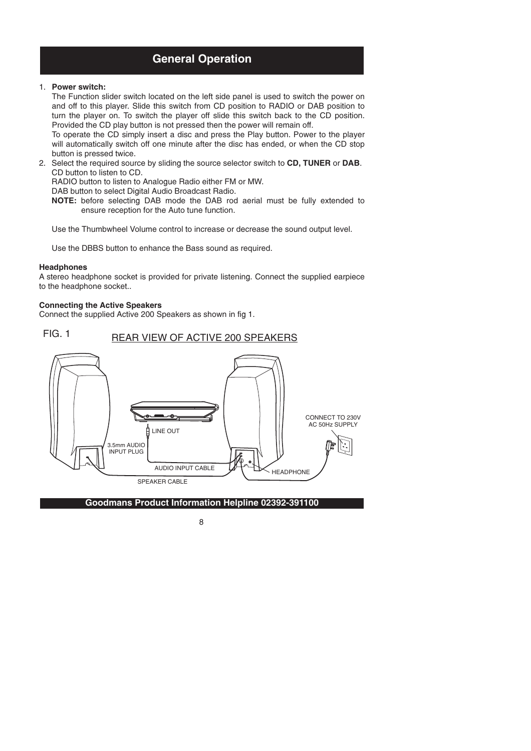# **General Operation**

## 1. **Power switch:**

The Function slider switch located on the left side panel is used to switch the power on and off to this player. Slide this switch from CD position to RADIO or DAB position to turn the player on. To switch the player off slide this switch back to the CD position. Provided the CD play button is not pressed then the power will remain off.

To operate the CD simply insert a disc and press the Play button. Power to the player will automatically switch off one minute after the disc has ended, or when the CD stop button is pressed twice.

2. Select the required source by sliding the source selector switch to **CD, TUNER** or **DAB**. CD button to listen to CD.

RADIO button to listen to Analogue Radio either FM or MW.

DAB button to select Digital Audio Broadcast Radio.

**NOTE:** before selecting DAB mode the DAB rod aerial must be fully extended to ensure reception for the Auto tune function.

Use the Thumbwheel Volume control to increase or decrease the sound output level.

Use the DBBS button to enhance the Bass sound as required.

#### **Headphones**

A stereo headphone socket is provided for private listening. Connect the supplied earpiece to the headphone socket..

#### **Connecting the Active Speakers**

Connect the supplied Active 200 Speakers as shown in fig 1.

FIG. 1 REAR VIEW OF ACTIVE 200 SPEAKERS

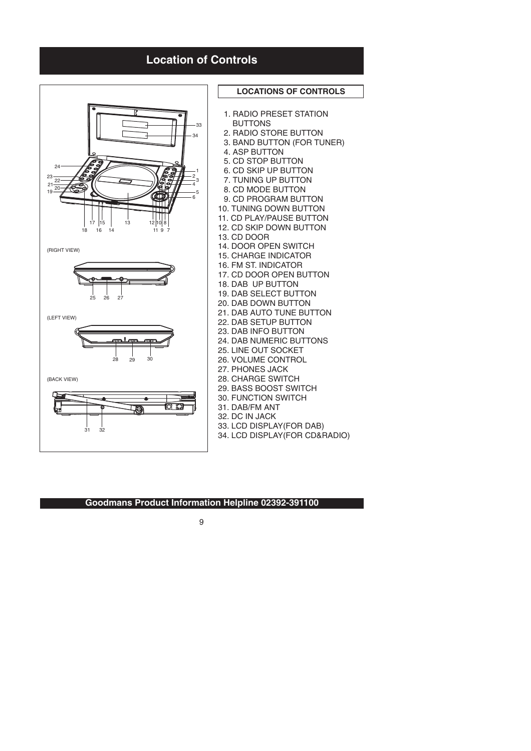# **Location of Controls**

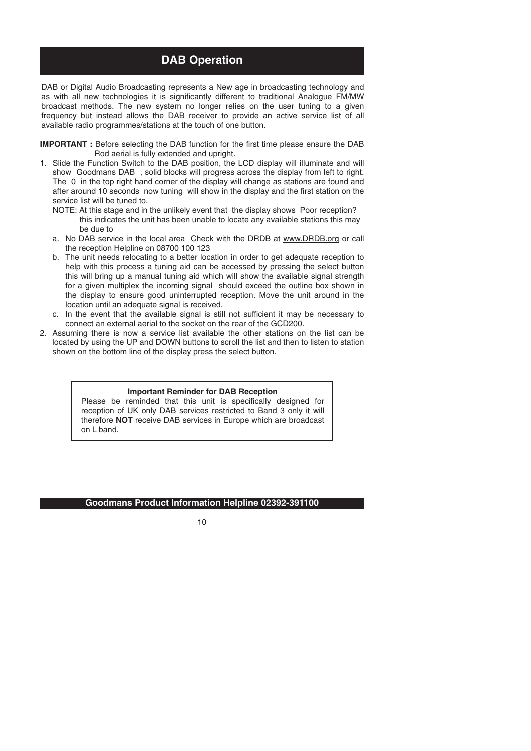# **DAB Operation**

DAB or Digital Audio Broadcasting represents a New age in broadcasting technology and as with all new technologies it is significantly different to traditional Analogue FM/MW broadcast methods. The new system no longer relies on the user tuning to a given frequency but instead allows the DAB receiver to provide an active service list of all available radio programmes/stations at the touch of one button.

**IMPORTANT :** Before selecting the DAB function for the first time please ensure the DAB Rod aerial is fully extended and upright.

- 1. Slide the Function Switch to the DAB position, the LCD display will illuminate and will show Goodmans DAB , solid blocks will progress across the display from left to right. The 0 in the top right hand corner of the display will change as stations are found and after around 10 seconds now tuning will show in the display and the first station on the service list will be tuned to.
	- NOTE: At this stage and in the unlikely event that the display shows Poor reception? this indicates the unit has been unable to locate any available stations this may be due to
	- a. No DAB service in the local area Check with the DRDB at www.DRDB.org or call the reception Helpline on 08700 100 123
	- b. The unit needs relocating to a better location in order to get adequate reception to help with this process a tuning aid can be accessed by pressing the select button this will bring up a manual tuning aid which will show the available signal strength for a given multiplex the incoming signal should exceed the outline box shown in the display to ensure good uninterrupted reception. Move the unit around in the location until an adequate signal is received.
	- c. In the event that the available signal is still not sufficient it may be necessary to connect an external aerial to the socket on the rear of the GCD200.
- 2. Assuming there is now a service list available the other stations on the list can be located by using the UP and DOWN buttons to scroll the list and then to listen to station shown on the bottom line of the display press the select button.

### **Important Reminder for DAB Reception**

therefore **NOT** receive DAB services in Europe which are broadcast Please be reminded that this unit is specifically designed for reception of UK only DAB services restricted to Band 3 only it will on L band.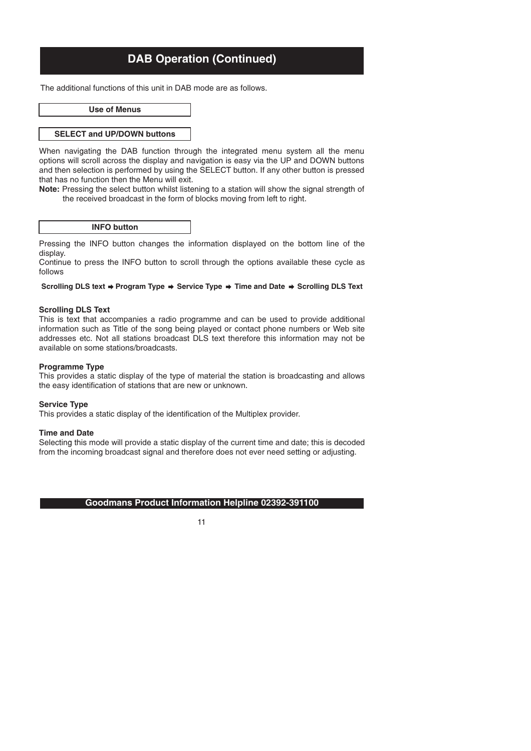The additional functions of this unit in DAB mode are as follows.

**Use of Menus**

#### **SELECT and UP/DOWN buttons**

When navigating the DAB function through the integrated menu system all the menu options will scroll across the display and navigation is easy via the UP and DOWN buttons and then selection is performed by using the SELECT button. If any other button is pressed that has no function then the Menu will exit.

**Note:** Pressing the select button whilst listening to a station will show the signal strength of the received broadcast in the form of blocks moving from left to right.

#### **INFO button**

Pressing the INFO button changes the information displayed on the bottom line of the display.

Continue to press the INFO button to scroll through the options available these cycle as follows

#### Scrolling DLS text  $\Rightarrow$  Program Type  $\Rightarrow$  Service Type  $\Rightarrow$  Time and Date  $\Rightarrow$  Scrolling DLS Text

#### **Scrolling DLS Text**

This is text that accompanies a radio programme and can be used to provide additional information such as Title of the song being played or contact phone numbers or Web site addresses etc. Not all stations broadcast DLS text therefore this information may not be available on some stations/broadcasts.

#### **Programme Type**

This provides a static display of the type of material the station is broadcasting and allows the easy identification of stations that are new or unknown.

#### **Service Type**

This provides a static display of the identification of the Multiplex provider.

#### **Time and Date**

Selecting this mode will provide a static display of the current time and date; this is decoded from the incoming broadcast signal and therefore does not ever need setting or adjusting.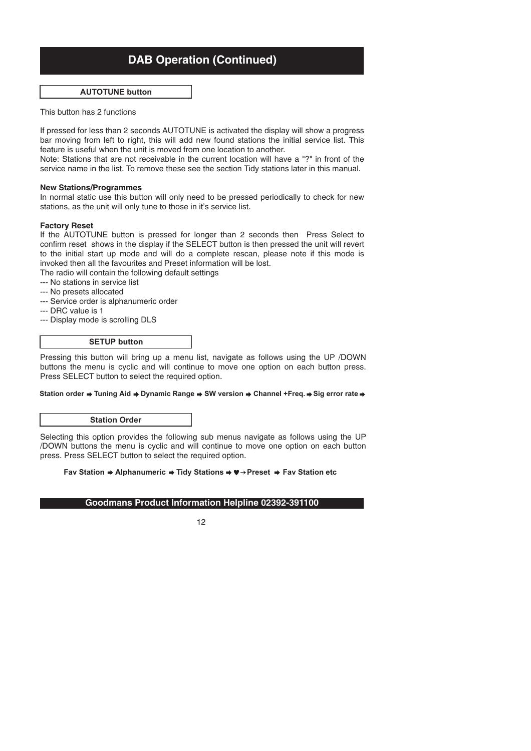#### **AUTOTUNE button**

This button has 2 functions

If pressed for less than 2 seconds AUTOTUNE is activated the display will show a progress bar moving from left to right, this will add new found stations the initial service list. This feature is useful when the unit is moved from one location to another.

Note: Stations that are not receivable in the current location will have a "?" in front of the service name in the list. To remove these see the section Tidy stations later in this manual.

#### **New Stations/Programmes**

In normal static use this button will only need to be pressed periodically to check for new stations, as the unit will only tune to those in it's service list.

#### **Factory Reset**

If the AUTOTUNE button is pressed for longer than 2 seconds then Press Select to confirm reset shows in the display if the SELECT button is then pressed the unit will revert to the initial start up mode and will do a complete rescan, please note if this mode is invoked then all the favourites and Preset information will be lost.

The radio will contain the following default settings

- --- No stations in service list
- --- No presets allocated
- --- Service order is alphanumeric order
- --- DRC value is 1
- --- Display mode is scrolling DLS

### **SETUP button**

Pressing this button will bring up a menu list, navigate as follows using the UP /DOWN buttons the menu is cyclic and will continue to move one option on each button press. Press SELECT button to select the required option.

#### Station order  $\rightarrow$  Tuning Aid  $\rightarrow$  Dynamic Range  $\rightarrow$  SW version  $\rightarrow$  Channel +Freq.  $\rightarrow$  Sig error rate  $\rightarrow$

#### **Station Order**

Selecting this option provides the following sub menus navigate as follows using the UP /DOWN buttons the menu is cyclic and will continue to move one option on each button press. Press SELECT button to select the required option.

#### **Fav Station → Alphanumeric → Tidy Stations → ♥ → Preset → Fav Station etc**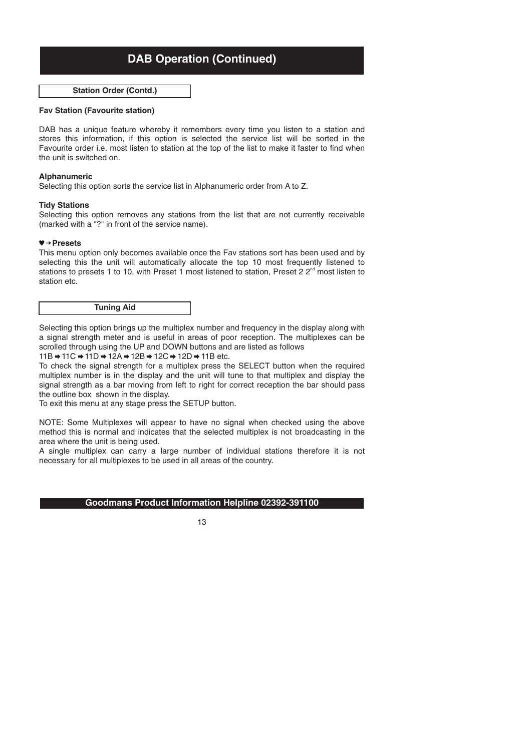**Station Order (Contd.)**

#### **Fav Station (Favourite station)**

DAB has a unique feature whereby it remembers every time you listen to a station and stores this information, if this option is selected the service list will be sorted in the Favourite order i.e. most listen to station at the top of the list to make it faster to find when the unit is switched on.

#### **Alphanumeric**

Selecting this option sorts the service list in Alphanumeric order from A to Z.

#### **Tidy Stations**

Selecting this option removes any stations from the list that are not currently receivable (marked with a "?" in front of the service name).

#### **Presets**

This menu option only becomes available once the Fav stations sort has been used and by selecting this the unit will automatically allocate the top 10 most frequently listened to stations to presets 1 to 10, with Preset 1 most listened to station, Preset 2  $2^{\text{nd}}$  most listen to station etc.



Selecting this option brings up the multiplex number and frequency in the display along with a signal strength meter and is useful in areas of poor reception. The multiplexes can be scrolled through using the UP and DOWN buttons and are listed as follows

#### $11B \rightarrow 11C \rightarrow 11D \rightarrow 12A \rightarrow 12B \rightarrow 12C \rightarrow 12D \rightarrow 11B$  etc.

To check the signal strength for a multiplex press the SELECT button when the required multiplex number is in the display and the unit will tune to that multiplex and display the signal strength as a bar moving from left to right for correct reception the bar should pass the outline box shown in the display.

To exit this menu at any stage press the SETUP button.

NOTE: Some Multiplexes will appear to have no signal when checked using the above method this is normal and indicates that the selected multiplex is not broadcasting in the area where the unit is being used.

A single multiplex can carry a large number of individual stations therefore it is not necessary for all multiplexes to be used in all areas of the country.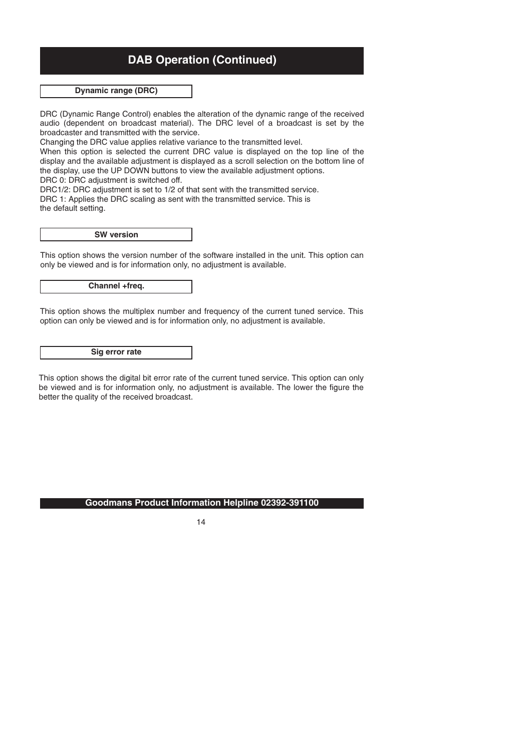## **Dynamic range (DRC)**

DRC (Dynamic Range Control) enables the alteration of the dynamic range of the received audio (dependent on broadcast material). The DRC level of a broadcast is set by the broadcaster and transmitted with the service.

Changing the DRC value applies relative variance to the transmitted level.

When this option is selected the current DRC value is displayed on the top line of the display and the available adjustment is displayed as a scroll selection on the bottom line of the display, use the UP DOWN buttons to view the available adjustment options.

DRC 0: DRC adjustment is switched off.

DRC1/2: DRC adjustment is set to 1/2 of that sent with the transmitted service.

DRC 1: Applies the DRC scaling as sent with the transmitted service. This is the default setting.

**SW version**

This option shows the version number of the software installed in the unit. This option can only be viewed and is for information only, no adjustment is available.

**Channel +freq.**

This option shows the multiplex number and frequency of the current tuned service. This option can only be viewed and is for information only, no adjustment is available.

**Sig error rate**

This option shows the digital bit error rate of the current tuned service. This option can only be viewed and is for information only, no adjustment is available. The lower the figure the better the quality of the received broadcast.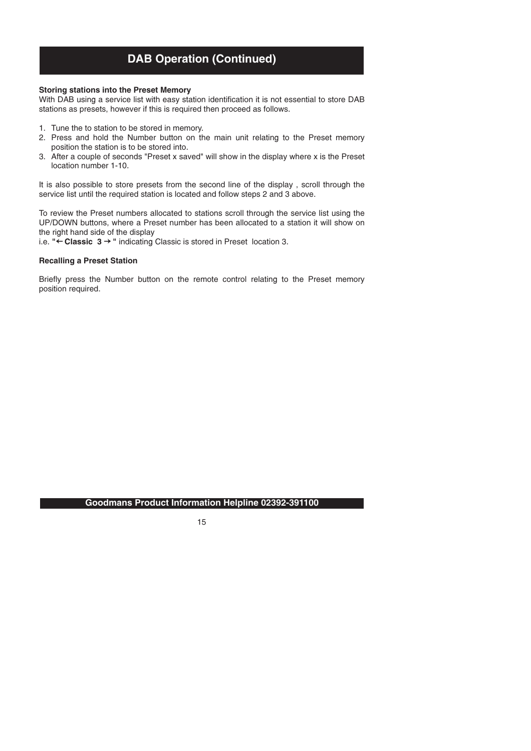#### **Storing stations into the Preset Memory**

With DAB using a service list with easy station identification it is not essential to store DAB stations as presets, however if this is required then proceed as follows.

- 1. Tune the to station to be stored in memory.
- 2. Press and hold the Number button on the main unit relating to the Preset memory position the station is to be stored into.
- 3. After a couple of seconds "Preset x saved" will show in the display where x is the Preset location number 1-10.

It is also possible to store presets from the second line of the display , scroll through the service list until the required station is located and follow steps 2 and 3 above.

To review the Preset numbers allocated to stations scroll through the service list using the UP/DOWN buttons, where a Preset number has been allocated to a station it will show on the right hand side of the display

i.e. "← Cl**assic 3 →** " indicating Classic is stored in Preset location 3.

#### **Recalling a Preset Station**

Briefly press the Number button on the remote control relating to the Preset memory position required.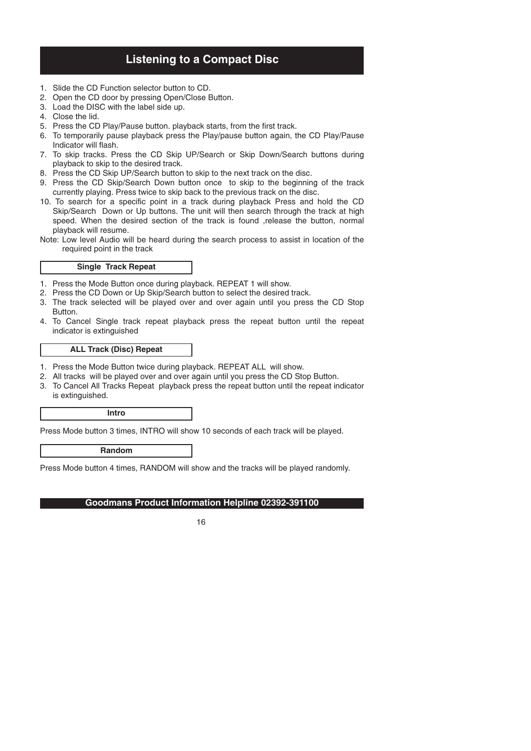# **Listening to a Compact Disc**

- 1. Slide the CD Function selector button to CD.
- 2. Open the CD door by pressing Open/Close Button.
- 3. Load the DISC with the label side up.
- 4. Close the lid.
- 5. Press the CD Play/Pause button. playback starts, from the first track.
- 6. To temporarily pause playback press the Play/pause button again, the CD Play/Pause Indicator will flash.
- 7. To skip tracks. Press the CD Skip UP/Search or Skip Down/Search buttons during playback to skip to the desired track.
- 8. Press the CD Skip UP/Search button to skip to the next track on the disc.
- 9. Press the CD Skip/Search Down button once to skip to the beginning of the track currently playing. Press twice to skip back to the previous track on the disc.
- 10. To search for a specific point in a track during playback Press and hold the CD Skip/Search Down or Up buttons. The unit will then search through the track at high speed. When the desired section of the track is found ,release the button, normal playback will resume.
- Note: Low level Audio will be heard during the search process to assist in location of the required point in the track

#### **Single Track Repeat**

- 1. Press the Mode Button once during playback. REPEAT 1 will show.
- 2. Press the CD Down or Up Skip/Search button to select the desired track.
- 3. The track selected will be played over and over again until you press the CD Stop Button.
- 4. To Cancel Single track repeat playback press the repeat button until the repeat indicator is extinguished

#### **ALL Track (Disc) Repeat**

- 1. Press the Mode Button twice during playback. REPEAT ALL will show.
- 2. All tracks will be played over and over again until you press the CD Stop Button.
- 3. To Cancel All Tracks Repeat playback press the repeat button until the repeat indicator is extinguished.

**Intro**

Press Mode button 3 times, INTRO will show 10 seconds of each track will be played.

**Random**

Press Mode button 4 times, RANDOM will show and the tracks will be played randomly.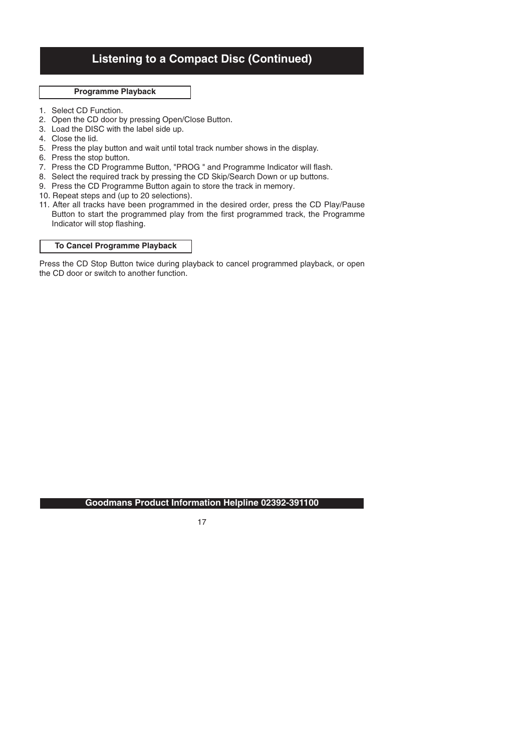# **Listening to a Compact Disc (Continued)**

### **Programme Playback**

- 1. Select CD Function.
- 2. Open the CD door by pressing Open/Close Button.
- 3. Load the DISC with the label side up.
- 4. Close the lid.
- 5. Press the play button and wait until total track number shows in the display.
- 6. Press the stop button.
- 7. Press the CD Programme Button, "PROG " and Programme Indicator will flash.
- 8. Select the required track by pressing the CD Skip/Search Down or up buttons.
- 9. Press the CD Programme Button again to store the track in memory *.*
- 10. Repeat steps and (up to 20 selections).
- 11. After all tracks have been programmed in the desired order, press the CD Play/Pause Button to start the programmed play from the first programmed track, the Programme Indicator will stop flashing.

#### **To Cancel Programme Playback**

Press the CD Stop Button twice during playback to cancel programmed playback, or open the CD door or switch to another function.